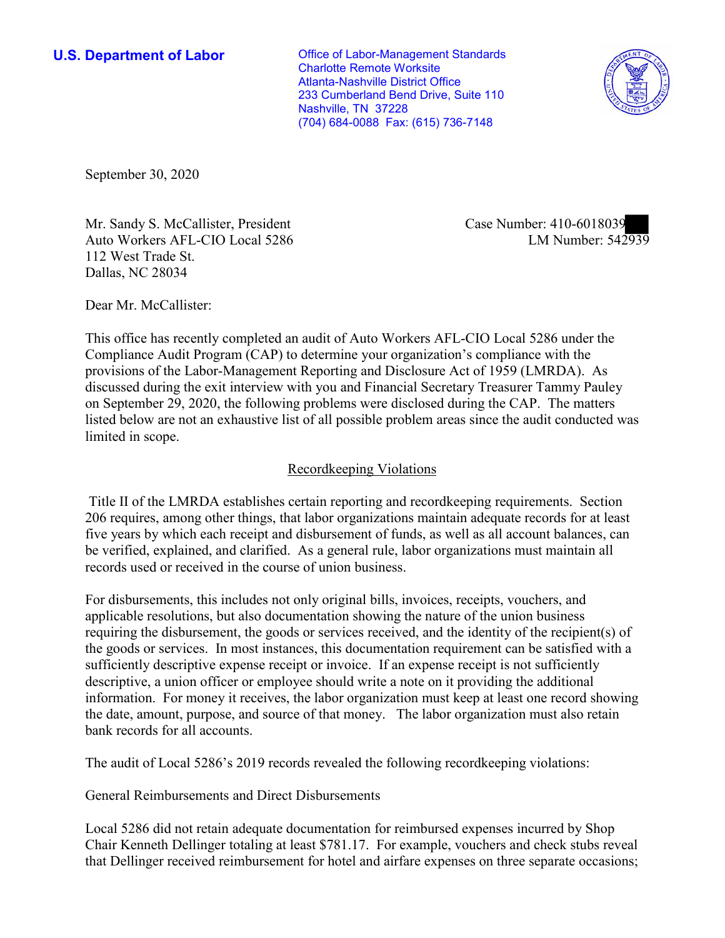(704) 684-0088 Fax: (615) 736-7148 **U.S. Department of Labor Conservative Conservative Conservative Conservative U.S.** Department of Labor Charlotte Remote Worksite Atlanta-Nashville District Office 233 Cumberland Bend Drive, Suite 110 Nashville, TN 37228



September 30, 2020

Mr. Sandy S. McCallister, President Auto Workers AFL-CIO Local 5286 112 West Trade St. Dallas, NC 28034

Case Number: 410-6018039<br>LM Number: 542939

Dear Mr. McCallister:

 This office has recently completed an audit of Auto Workers AFL-CIO Local 5286 under the Compliance Audit Program (CAP) to determine your organization's compliance with the provisions of the Labor-Management Reporting and Disclosure Act of 1959 (LMRDA). As discussed during the exit interview with you and Financial Secretary Treasurer Tammy Pauley on September 29, 2020, the following problems were disclosed during the CAP. The matters listed below are not an exhaustive list of all possible problem areas since the audit conducted was limited in scope.

## Recordkeeping Violations

 Title II of the LMRDA establishes certain reporting and recordkeeping requirements. Section 206 requires, among other things, that labor organizations maintain adequate records for at least five years by which each receipt and disbursement of funds, as well as all account balances, can be verified, explained, and clarified. As a general rule, labor organizations must maintain all records used or received in the course of union business.

For disbursements, this includes not only original bills, invoices, receipts, vouchers, and applicable resolutions, but also documentation showing the nature of the union business requiring the disbursement, the goods or services received, and the identity of the recipient(s) of the goods or services. In most instances, this documentation requirement can be satisfied with a sufficiently descriptive expense receipt or invoice. If an expense receipt is not sufficiently descriptive, a union officer or employee should write a note on it providing the additional information. For money it receives, the labor organization must keep at least one record showing the date, amount, purpose, and source of that money. The labor organization must also retain bank records for all accounts.

The audit of Local 5286's 2019 records revealed the following recordkeeping violations:

General Reimbursements and Direct Disbursements

Local 5286 did not retain adequate documentation for reimbursed expenses incurred by Shop Chair Kenneth Dellinger totaling at least \$781.17. For example, vouchers and check stubs reveal that Dellinger received reimbursement for hotel and airfare expenses on three separate occasions;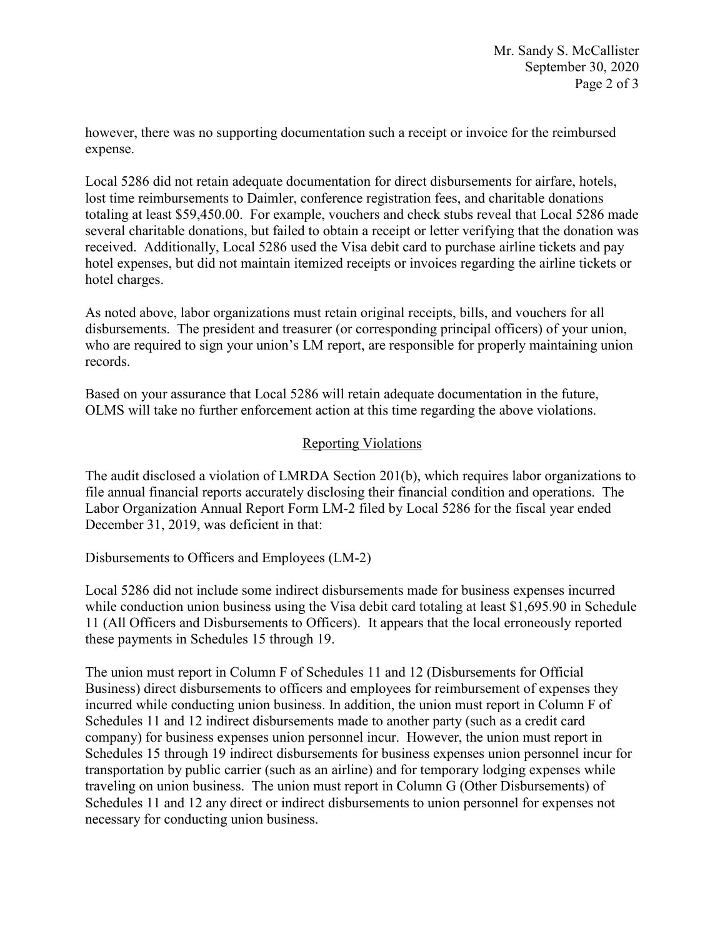however, there was no supporting documentation such a receipt or invoice for the reimbursed expense.

Local 5286 did not retain adequate documentation for direct disbursements for airfare, hotels, lost time reimbursements to Daimler, conference registration fees, and charitable donations totaling at least [\\$59,450.00](https://59,450.00). For example, vouchers and check stubs reveal that Local 5286 made several charitable donations, but failed to obtain a receipt or letter verifying that the donation was received. Additionally, Local 5286 used the Visa debit card to purchase airline tickets and pay hotel expenses, but did not maintain itemized receipts or invoices regarding the airline tickets or hotel charges.

 who are required to sign your union's LM report, are responsible for properly maintaining union As noted above, labor organizations must retain original receipts, bills, and vouchers for all disbursements. The president and treasurer (or corresponding principal officers) of your union, records.

 Based on your assurance that Local 5286 will retain adequate documentation in the future, OLMS will take no further enforcement action at this time regarding the above violations.

## Reporting Violations

December 31, 2019, was deficient in that: The audit disclosed a violation of LMRDA Section 201(b), which requires labor organizations to file annual financial reports accurately disclosing their financial condition and operations. The Labor Organization Annual Report Form LM-2 filed by Local 5286 for the fiscal year ended

Disbursements to Officers and Employees (LM-2)

 11 (All Officers and Disbursements to Officers). It appears that the local erroneously reported Local 5286 did not include some indirect disbursements made for business expenses incurred while conduction union business using the Visa debit card totaling at least \$[1,695.90](https://1,695.90) in Schedule these payments in Schedules 15 through 19.

 The union must report in Column F of Schedules 11 and 12 (Disbursements for Official Schedules 11 and 12 indirect disbursements made to another party (such as a credit card Schedules 15 through 19 indirect disbursements for business expenses union personnel incur for Business) direct disbursements to officers and employees for reimbursement of expenses they incurred while conducting union business. In addition, the union must report in Column F of company) for business expenses union personnel incur. However, the union must report in transportation by public carrier (such as an airline) and for temporary lodging expenses while traveling on union business. The union must report in Column G (Other Disbursements) of Schedules 11 and 12 any direct or indirect disbursements to union personnel for expenses not necessary for conducting union business.